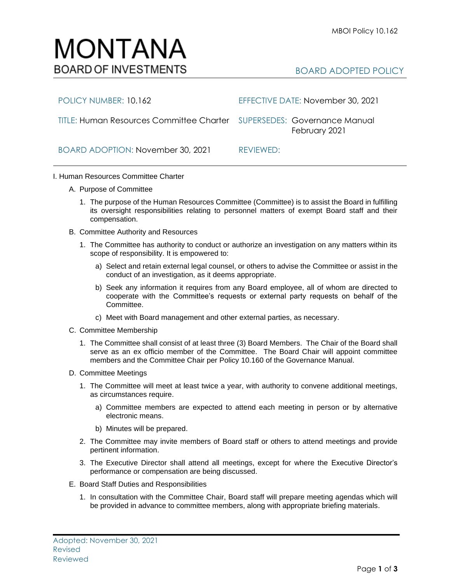BOARD ADOPTED POLICY

POLICY NUMBER: 10.162 EFFECTIVE DATE: November 30, 2021 TITLE: Human Resources Committee Charter SUPERSEDES:Governance Manual February 2021

BOARD ADOPTION: November 30, 2021 REVIEWED:

## I. Human Resources Committee Charter

- A. Purpose of Committee
	- 1. The purpose of the Human Resources Committee (Committee) is to assist the Board in fulfilling its oversight responsibilities relating to personnel matters of exempt Board staff and their compensation.
- B. Committee Authority and Resources
	- 1. The Committee has authority to conduct or authorize an investigation on any matters within its scope of responsibility. It is empowered to:
		- a) Select and retain external legal counsel, or others to advise the Committee or assist in the conduct of an investigation, as it deems appropriate.
		- b) Seek any information it requires from any Board employee, all of whom are directed to cooperate with the Committee's requests or external party requests on behalf of the Committee.
		- c) Meet with Board management and other external parties, as necessary.
- C. Committee Membership
	- 1. The Committee shall consist of at least three (3) Board Members. The Chair of the Board shall serve as an ex officio member of the Committee. The Board Chair will appoint committee members and the Committee Chair per Policy 10.160 of the Governance Manual.
- D. Committee Meetings
	- 1. The Committee will meet at least twice a year, with authority to convene additional meetings, as circumstances require.
		- a) Committee members are expected to attend each meeting in person or by alternative electronic means.
		- b) Minutes will be prepared.
	- 2. The Committee may invite members of Board staff or others to attend meetings and provide pertinent information.
	- 3. The Executive Director shall attend all meetings, except for where the Executive Director's performance or compensation are being discussed.
- E. Board Staff Duties and Responsibilities
	- 1. In consultation with the Committee Chair, Board staff will prepare meeting agendas which will be provided in advance to committee members, along with appropriate briefing materials.

## MONTANA **BOARD OF INVESTMENTS**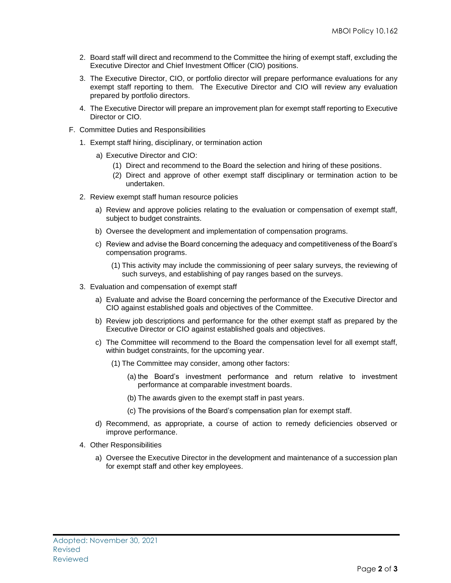- 2. Board staff will direct and recommend to the Committee the hiring of exempt staff, excluding the Executive Director and Chief Investment Officer (CIO) positions.
- 3. The Executive Director, CIO, or portfolio director will prepare performance evaluations for any exempt staff reporting to them. The Executive Director and CIO will review any evaluation prepared by portfolio directors.
- 4. The Executive Director will prepare an improvement plan for exempt staff reporting to Executive Director or CIO.
- F. Committee Duties and Responsibilities
	- 1. Exempt staff hiring, disciplinary, or termination action
		- a) Executive Director and CIO:
			- (1) Direct and recommend to the Board the selection and hiring of these positions.
			- (2) Direct and approve of other exempt staff disciplinary or termination action to be undertaken.
	- 2. Review exempt staff human resource policies
		- a) Review and approve policies relating to the evaluation or compensation of exempt staff, subject to budget constraints.
		- b) Oversee the development and implementation of compensation programs.
		- c) Review and advise the Board concerning the adequacy and competitiveness of the Board's compensation programs.
			- (1) This activity may include the commissioning of peer salary surveys, the reviewing of such surveys, and establishing of pay ranges based on the surveys.
	- 3. Evaluation and compensation of exempt staff
		- a) Evaluate and advise the Board concerning the performance of the Executive Director and CIO against established goals and objectives of the Committee.
		- b) Review job descriptions and performance for the other exempt staff as prepared by the Executive Director or CIO against established goals and objectives.
		- c) The Committee will recommend to the Board the compensation level for all exempt staff, within budget constraints, for the upcoming year.
			- (1) The Committee may consider, among other factors:
				- (a) the Board's investment performance and return relative to investment performance at comparable investment boards.
				- (b) The awards given to the exempt staff in past years.
				- (c) The provisions of the Board's compensation plan for exempt staff.
		- d) Recommend, as appropriate, a course of action to remedy deficiencies observed or improve performance.
	- 4. Other Responsibilities
		- a) Oversee the Executive Director in the development and maintenance of a succession plan for exempt staff and other key employees.